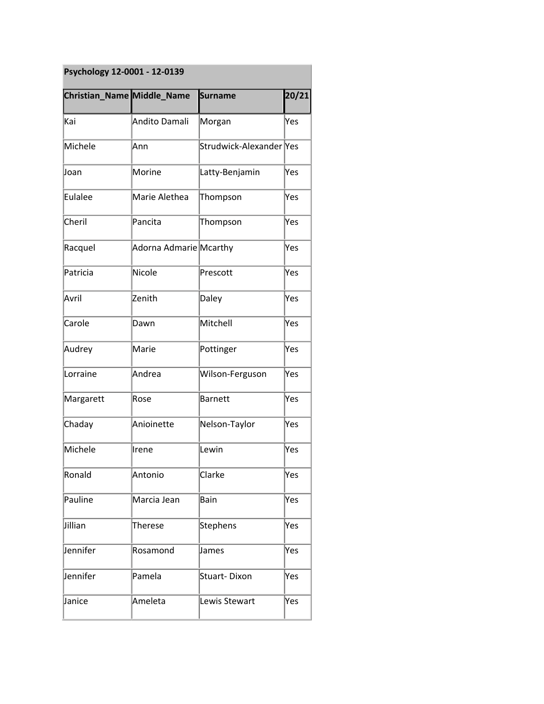| Psychology 12-0001 - 12-0139 |  |  |
|------------------------------|--|--|
|------------------------------|--|--|

| Christian_Name Middle_Name |                        | <b>Surname</b>          | 20/21 |
|----------------------------|------------------------|-------------------------|-------|
| Kai                        | Andito Damali          | Morgan                  | Yes   |
| Michele                    | Ann                    | Strudwick-Alexander Yes |       |
| Joan                       | Morine                 | Latty-Benjamin          | Yes   |
| <b>Eulalee</b>             | Marie Alethea          | Thompson                | Yes   |
| Cheril                     | Pancita                | Thompson                | Yes   |
| Racquel                    | Adorna Admarie Mcarthy |                         | Yes   |
| Patricia                   | Nicole                 | Prescott                | Yes   |
| Avril                      | Zenith                 | Daley                   | Yes   |
| Carole                     | Dawn                   | Mitchell                | Yes   |
| Audrey                     | Marie                  | Pottinger               | Yes   |
| Lorraine                   | Andrea                 | Wilson-Ferguson         | Yes   |
| Margarett                  | Rose                   | <b>Barnett</b>          | Yes   |
| Chaday                     | Anioinette             | Nelson-Taylor           | Yes   |
| Michele                    | Irene                  | Lewin                   | Yes   |
| Ronald                     | Antonio                | Clarke                  | Yes   |
| Pauline                    | Marcia Jean            | Bain                    | Yes   |
| Jillian                    | Therese                | <b>Stephens</b>         | Yes   |
| Jennifer                   | Rosamond               | James                   | Yes   |
| Jennifer                   | Pamela                 | <b>Stuart-Dixon</b>     | Yes   |
| Janice                     | Ameleta                | Lewis Stewart           | Yes   |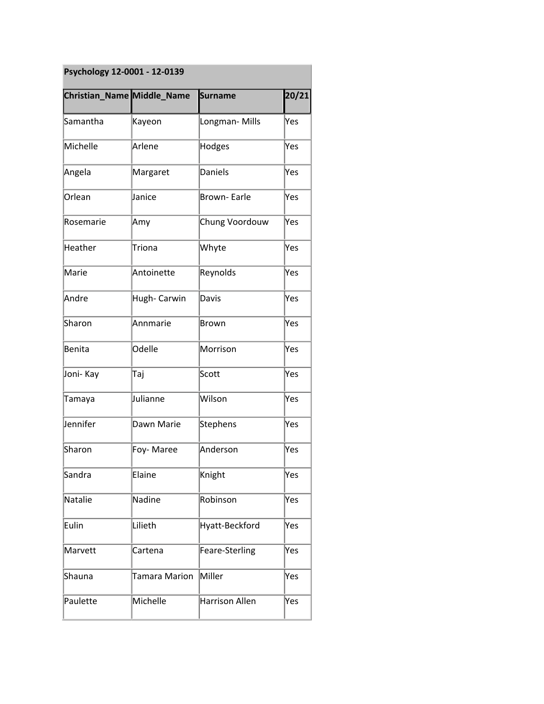## **Psychology 12-0001 - 12-0139**

|           | Christian_Name Middle_Name | <b>Surname</b>        | 20/21 |
|-----------|----------------------------|-----------------------|-------|
| Samantha  | Kayeon                     | Longman-Mills         | Yes   |
| Michelle  | Arlene                     | Hodges                | Yes   |
| Angela    | Margaret                   | <b>Daniels</b>        | Yes   |
| Orlean    | Janice                     | <b>Brown-Earle</b>    | Yes   |
| Rosemarie | Amy                        | Chung Voordouw        | Yes   |
| Heather   | <b>Triona</b>              | Whyte                 | Yes   |
| Marie     | Antoinette                 | Reynolds              | Yes   |
| Andre     | Hugh- Carwin               | Davis                 | Yes   |
| Sharon    | Annmarie                   | <b>Brown</b>          | Yes   |
| Benita    | Odelle                     | Morrison              | Yes   |
| Joni- Kay | Taj                        | Scott                 | Yes   |
| Tamaya    | Julianne                   | Wilson                | Yes   |
| Jennifer  | Dawn Marie                 | <b>Stephens</b>       | Yes   |
| Sharon    | Foy-Maree                  | Anderson              | Yes   |
| Sandra    | Elaine                     | Knight                | Yes   |
| Natalie   | Nadine                     | Robinson              | Yes   |
| Eulin     | Lilieth                    | Hyatt-Beckford        | Yes   |
| Marvett   | Cartena                    | Feare-Sterling        | Yes   |
| Shauna    | Tamara Marion              | Miller                | Yes   |
| Paulette  | Michelle                   | <b>Harrison Allen</b> | Yes   |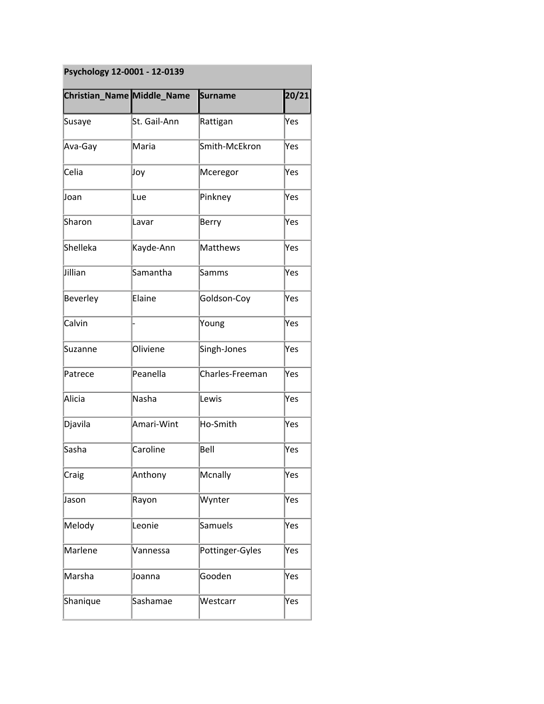| Psychology 12-0001 - 12-0139 |  |  |
|------------------------------|--|--|
|------------------------------|--|--|

|          | Christian_Name Middle_Name | <b>Surname</b>  | 20/21 |
|----------|----------------------------|-----------------|-------|
| Susaye   | St. Gail-Ann               | Rattigan        | Yes   |
| Ava-Gay  | Maria                      | Smith-McEkron   | Yes   |
| Celia    | Joy                        | Mceregor        | Yes   |
| Joan     | Lue                        | Pinkney         | Yes   |
| Sharon   | Lavar                      | Berry           | Yes   |
| Shelleka | Kayde-Ann                  | Matthews        | Yes   |
| Jillian  | Samantha                   | <b>Samms</b>    | Yes   |
| Beverley | Elaine                     | Goldson-Coy     | Yes   |
| Calvin   |                            | Young           | Yes   |
| Suzanne  | Oliviene                   | Singh-Jones     | Yes   |
| Patrece  | Peanella                   | Charles-Freeman | Yes   |
| Alicia   | Nasha                      | Lewis           | Yes   |
| Djavila  | Amari-Wint                 | Ho-Smith        | Yes   |
| Sasha    | Caroline                   | Bell            | Yes   |
| Craig    | Anthony                    | Mcnally         | Yes   |
| Jason    | Rayon                      | Wynter          | Yes   |
| Melody   | Leonie                     | <b>Samuels</b>  | Yes   |
| Marlene  | Vannessa                   | Pottinger-Gyles | Yes   |
| Marsha   | Joanna                     | Gooden          | Yes   |
| Shanique | Sashamae                   | Westcarr        | Yes   |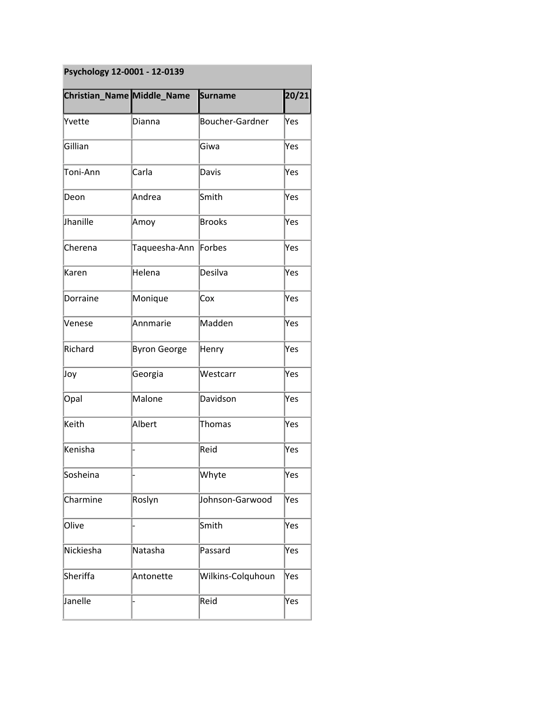| Psychology 12-0001 - 12-0139      |                     |                        |       |
|-----------------------------------|---------------------|------------------------|-------|
| <b>Christian_Name Middle_Name</b> |                     | <b>Surname</b>         | 20/21 |
| Yvette                            | Dianna              | <b>Boucher-Gardner</b> | Yes   |
| Gillian                           |                     | Giwa                   | Yes   |
| Toni-Ann                          | Carla               | Davis                  | Yes   |
| Deon                              | Andrea              | Smith                  | Yes   |
| Jhanille                          | Amoy                | <b>Brooks</b>          | Yes   |
| Cherena                           | Taqueesha-Ann       | Forbes                 | Yes   |
| Karen                             | Helena              | Desilva                | Yes   |
| Dorraine                          | Monique             | Cox                    | Yes   |
| Venese                            | Annmarie            | Madden                 | Yes   |
| Richard                           | <b>Byron George</b> | Henry                  | Yes   |
| Joy                               | Georgia             | Westcarr               | lYes  |
| Opal                              | Malone              | Davidson               | Yes   |
| Keith                             | Albert              | <b>Thomas</b>          | lYes  |
| Kenisha                           |                     | Reid                   | Yes   |
| Sosheina                          |                     | Whyte                  | Yes   |
| Charmine                          | Roslyn              | Johnson-Garwood        | Yes   |
| Olive                             |                     | Smith                  | Yes   |
| Nickiesha                         | Natasha             | Passard                | Yes   |
| Sheriffa                          | Antonette           | Wilkins-Colquhoun      | Yes   |
| Janelle                           |                     | Reid                   | Yes   |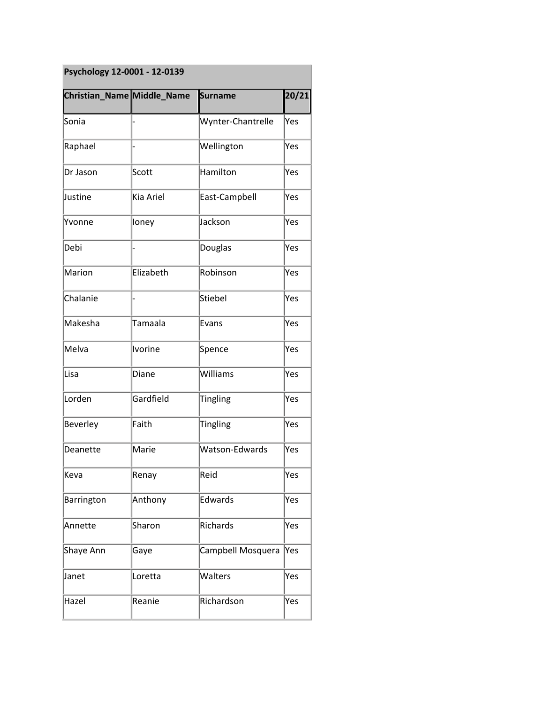| Psychology 12-0001 - 12-0139 |           |                       |       |
|------------------------------|-----------|-----------------------|-------|
| Christian_Name Middle_Name   |           | <b>Surname</b>        | 20/21 |
| Sonia                        |           | Wynter-Chantrelle     | Yes   |
| Raphael                      |           | Wellington            | Yes   |
| Dr Jason                     | Scott     | Hamilton              | Yes   |
| Justine                      | Kia Ariel | East-Campbell         | Yes   |
| Yvonne                       | loney     | Jackson               | Yes   |
| Debi                         |           | Douglas               | Yes   |
| Marion                       | Elizabeth | Robinson              | Yes   |
| Chalanie                     |           | <b>Stiebel</b>        | Yes   |
| Makesha                      | Tamaala   | Evans                 | Yes   |
| Melva                        | Ivorine   | Spence                | Yes   |
| Lisa                         | Diane     | Williams              | Yes   |
| Lorden                       | Gardfield | <b>Tingling</b>       | Yes   |
| Beverley                     | Faith     | <b>Tingling</b>       | Yes   |
| Deanette                     | Marie     | <b>Watson-Edwards</b> | Yes   |
| Keva                         | Renay     | Reid                  | Yes   |
| Barrington                   | Anthony   | Edwards               | Yes   |
| Annette                      | Sharon    | Richards              | Yes   |
| Shaye Ann                    | Gaye      | Campbell Mosquera     | Yes   |
| Janet                        | Loretta   | Walters               | Yes   |
| Hazel                        | Reanie    | Richardson            | Yes   |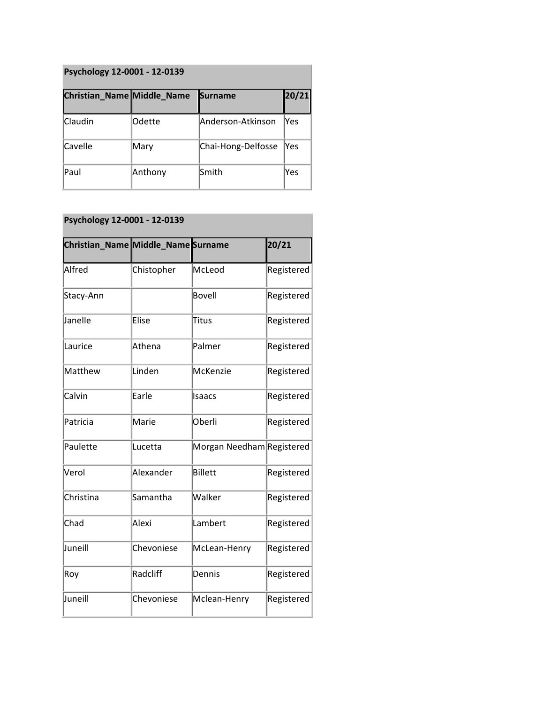| Psychology 12-0001 - 12-0139      |         |                    |       |  |
|-----------------------------------|---------|--------------------|-------|--|
| <b>Christian_Name Middle_Name</b> |         | <b>Surname</b>     | 20/21 |  |
| Claudin                           | lOdette | Anderson-Atkinson  | lYes. |  |
| Cavelle                           | Mary    | Chai-Hong-Delfosse | lYes  |  |
| Paul                              | Anthony | Smith              | Yes   |  |

## **Psychology 12-0001 - 12-0139**

| <b>Christian_Name Middle_Name Surname</b> |            |                           | 20/21             |
|-------------------------------------------|------------|---------------------------|-------------------|
| Alfred                                    | Chistopher | McLeod                    | Registered        |
| Stacy-Ann                                 |            | <b>Bovell</b>             | Registered        |
| Janelle                                   | Elise      | Titus                     | Registered        |
| Laurice                                   | Athena     | Palmer                    | Registered        |
| Matthew                                   | Linden     | McKenzie                  | Registered        |
| Calvin                                    | Earle      | Isaacs                    | Registered        |
| Patricia                                  | Marie      | Oberli                    | Registered        |
| Paulette                                  | Lucetta    | Morgan Needham Registered |                   |
| Verol                                     | Alexander  | <b>Billett</b>            | Registered        |
| Christina                                 | Samantha   | Walker                    | Registered        |
| Chad                                      | Alexi      | Lambert                   | Registered        |
| Juneill                                   | Chevoniese | McLean-Henry              | Registered        |
| Roy                                       | Radcliff   | Dennis                    | <b>Registered</b> |
| Juneill                                   | Chevoniese | Mclean-Henry              | Registered        |